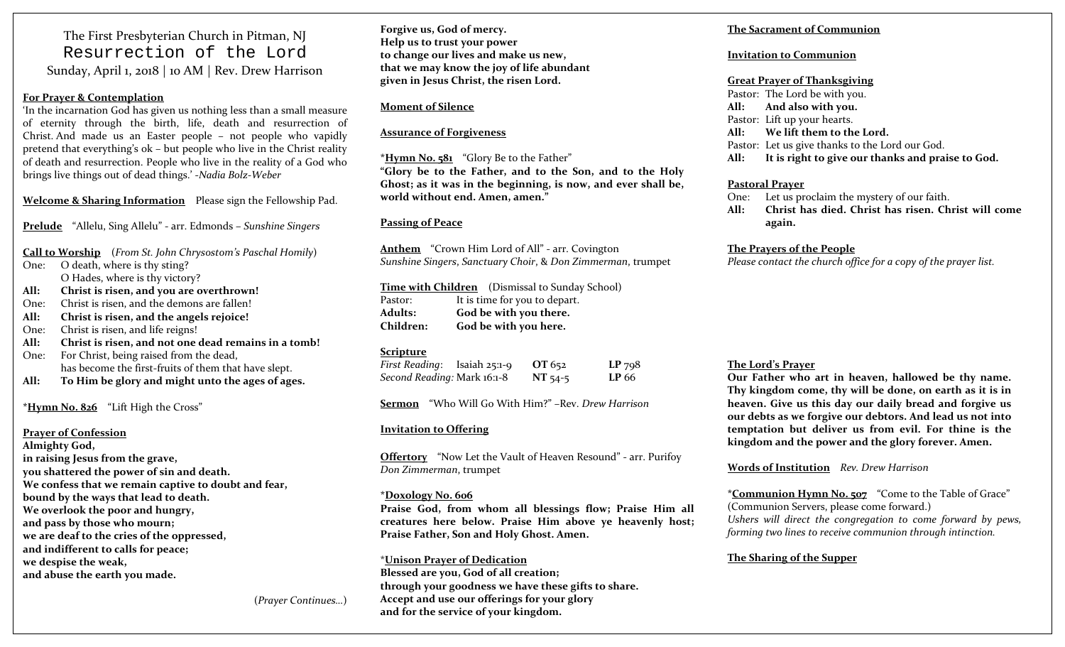The First Presbyterian Church in Pitman, NJ Resurrection of the Lord Sunday, April 1, <sup>2018</sup> | <sup>10</sup> AM | Rev. Drew Harrison

#### **For Prayer & Contemplation**

'In the incarnation God has given us nothing less than <sup>a</sup> small measure of eternity through the birth, life, death and resurrection of Christ. And made us an Easter people – not people who vapidly pretend that everything's ok – but people who live in the Christ reality of death and resurrection. People who live in the reality of <sup>a</sup> God who brings live things out of dead things.' ‐*Nadia Bolz‐Weber*

**Welcome & Sharing Information** Please sign the Fellowship Pad.

**Prelude** "Allelu, Sing Allelu" ‐ arr. Edmonds – *Sunshine Singers*

**Call to Worship** (*From St. John Chrysostom's Paschal Homily*) One: O death, where is thy sting?

O Hades, where is thy victory? **All:Christ is risen, and you are overthrown!**

One:Christ is risen, and the demons are fallen!

**All:Christ is risen, and the angels rejoice!**

One:Christ is risen, and life reigns!

**All:Christ is risen, and not one dead remains in a tomb!**

One: For Christ, being raised from the dead, has become the first‐fruits of them that have slept.

**All:To Him be glory and might unto the ages of ages.**

**\*Hymn No. 826** "Lift High the Cross"

**Prayer of Confession**

**Almighty God, in raising Jesus from the grave, you shattered the power of sin and death. We confess that we remain captive to doubt and fear, bound by the ways that lead to death. We overlook the poor and hungry, and pass by those who mourn; we are deaf to the cries of the oppressed, and indifferent to calls for peace; we despise the weak,**

**and abuse the earth you made.**

**Forgive us, God of mercy. Help us to trust your power to change our lives and make us new, that we may know the joy of life abundant given in Jesus Christ, the risen Lord.**

#### **Moment of Silence**

#### **Assurance of Forgiveness**

**\*Hymn No. <sup>5</sup><sup>81</sup>** "Glory Be to the Father" **"Glory be to the Father, and to the Son, and to the Holy Ghost; as it was in the beginning, is now, and ever shall be, world without end. Amen, amen."**

#### **Passing of Peace**

**Anthem** "Crown Him Lord of All" ‐ arr. Covington *Sunshine Singers*, *Sanctuary Choir*, & *Don Zimmerman*, trumpet

**Time with Children** (Dismissal to Sunday School) Pastor: It is time for you to depart. **Adults: God be with you there. Children:God be with you here.**

#### **Scripture**

*First Reading*: Isaiah 25:1‐9 **OT** 652 **LP** 79<sup>8</sup> *Second Reading:* Mark 16:1‐<sup>8</sup> **NT** 54‐<sup>5</sup> **LP** 66

**Sermon** "Who Will Go With Him?" –Rev. *Drew Harrison*

#### **Invitation to Offering**

**Offertory** "Now Let the Vault of Heaven Resound" ‐ arr. Purifoy *Don Zimmerman*, trumpet

#### **\*Doxology No. 606**

**Praise God, from whom all blessings flow; Praise Him all creatures here below. Praise Him above ye heavenly host; Praise Father, Son and Holy Ghost. Amen.**

\***Unison Prayer of Dedication Blessed are you, God of all creation; through your goodness we have these gifts to share. Accept and use our offerings for your glory and for the service of your kingdom.**

#### **The Sacrament of Communion**

#### **Invitation to Communion**

#### **Great Prayer of Thanksgiving**

Pastor: The Lord be with you. **All: And also with you.** Pastor: Lift up your hearts. **All: We lift them to the Lord.** Pastor: Let us give thanks to the Lord our God. **All:It is right to give our thanks and praise to God.**

#### **Pastoral Prayer**

One: Let us proclaim the mystery of our faith. **All: Christ has died. Christ has risen. Christ will comeagain.**

#### **The Prayers of the People**

*Please contact the church office for <sup>a</sup> copy of the prayer list.*

#### **The Lord's Prayer**

**Our Father who art in heaven, hallowed be thy name. Thy kingdom come, thy will be done, on earth as it is in heaven. Give us this day our daily bread and forgive us our debts as we forgive our debtors. And lead us not into temptation but deliver us from evil. For thine is the kingdom and the power and the glory forever. Amen.**

**Words of Institution** *Rev. Drew Harrison*

**\*Communion Hymn No. 507** "Come to the Table of Grace" (Communion Servers, <sup>p</sup>lease come forward.) *Ushers will direct the congregation to come forward by pews, forming two lines to receive communion through intinction.*

#### **The Sharing of the Supper**

(*Prayer Continues…*)